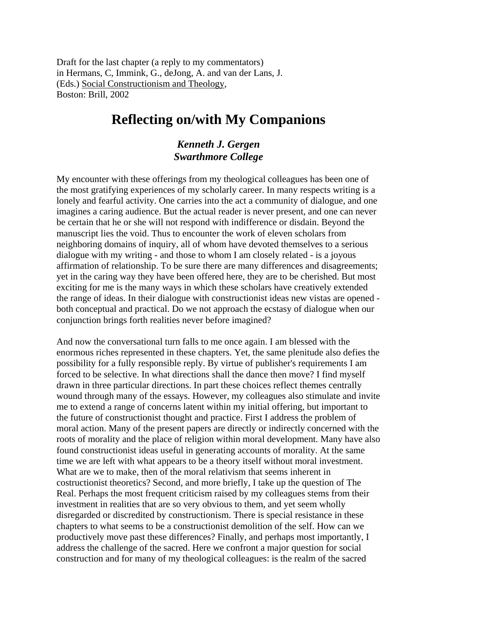Draft for the last chapter (a reply to my commentators) in Hermans, C, Immink, G., deJong, A. and van der Lans, J. (Eds.) Social Constructionism and Theology, Boston: Brill, 2002

# **Reflecting on/with My Companions**

# *Kenneth J. Gergen Swarthmore College*

My encounter with these offerings from my theological colleagues has been one of the most gratifying experiences of my scholarly career. In many respects writing is a lonely and fearful activity. One carries into the act a community of dialogue, and one imagines a caring audience. But the actual reader is never present, and one can never be certain that he or she will not respond with indifference or disdain. Beyond the manuscript lies the void. Thus to encounter the work of eleven scholars from neighboring domains of inquiry, all of whom have devoted themselves to a serious dialogue with my writing - and those to whom I am closely related - is a joyous affirmation of relationship. To be sure there are many differences and disagreements; yet in the caring way they have been offered here, they are to be cherished. But most exciting for me is the many ways in which these scholars have creatively extended the range of ideas. In their dialogue with constructionist ideas new vistas are opened both conceptual and practical. Do we not approach the ecstasy of dialogue when our conjunction brings forth realities never before imagined?

And now the conversational turn falls to me once again. I am blessed with the enormous riches represented in these chapters. Yet, the same plenitude also defies the possibility for a fully responsible reply. By virtue of publisher's requirements I am forced to be selective. In what directions shall the dance then move? I find myself drawn in three particular directions. In part these choices reflect themes centrally wound through many of the essays. However, my colleagues also stimulate and invite me to extend a range of concerns latent within my initial offering, but important to the future of constructionist thought and practice. First I address the problem of moral action. Many of the present papers are directly or indirectly concerned with the roots of morality and the place of religion within moral development. Many have also found constructionist ideas useful in generating accounts of morality. At the same time we are left with what appears to be a theory itself without moral investment. What are we to make, then of the moral relativism that seems inherent in costructionist theoretics? Second, and more briefly, I take up the question of The Real. Perhaps the most frequent criticism raised by my colleagues stems from their investment in realities that are so very obvious to them, and yet seem wholly disregarded or discredited by constructionism. There is special resistance in these chapters to what seems to be a constructionist demolition of the self. How can we productively move past these differences? Finally, and perhaps most importantly, I address the challenge of the sacred. Here we confront a major question for social construction and for many of my theological colleagues: is the realm of the sacred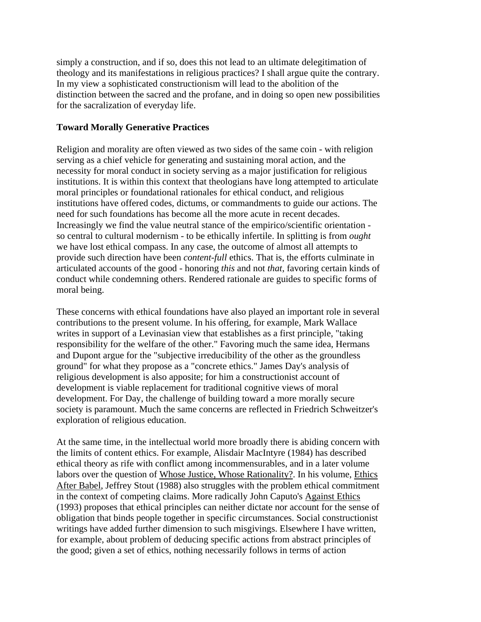simply a construction, and if so, does this not lead to an ultimate delegitimation of theology and its manifestations in religious practices? I shall argue quite the contrary. In my view a sophisticated constructionism will lead to the abolition of the distinction between the sacred and the profane, and in doing so open new possibilities for the sacralization of everyday life.

## **Toward Morally Generative Practices**

Religion and morality are often viewed as two sides of the same coin - with religion serving as a chief vehicle for generating and sustaining moral action, and the necessity for moral conduct in society serving as a major justification for religious institutions. It is within this context that theologians have long attempted to articulate moral principles or foundational rationales for ethical conduct, and religious institutions have offered codes, dictums, or commandments to guide our actions. The need for such foundations has become all the more acute in recent decades. Increasingly we find the value neutral stance of the empirico/scientific orientation so central to cultural modernism - to be ethically infertile. In splitting is from *ought* we have lost ethical compass. In any case, the outcome of almost all attempts to provide such direction have been *content-full* ethics. That is, the efforts culminate in articulated accounts of the good - honoring *this* and not *that*, favoring certain kinds of conduct while condemning others. Rendered rationale are guides to specific forms of moral being.

These concerns with ethical foundations have also played an important role in several contributions to the present volume. In his offering, for example, Mark Wallace writes in support of a Levinasian view that establishes as a first principle, "taking responsibility for the welfare of the other." Favoring much the same idea, Hermans and Dupont argue for the "subjective irreducibility of the other as the groundless ground" for what they propose as a "concrete ethics." James Day's analysis of religious development is also apposite; for him a constructionist account of development is viable replacement for traditional cognitive views of moral development. For Day, the challenge of building toward a more morally secure society is paramount. Much the same concerns are reflected in Friedrich Schweitzer's exploration of religious education.

At the same time, in the intellectual world more broadly there is abiding concern with the limits of content ethics. For example, Alisdair MacIntyre (1984) has described ethical theory as rife with conflict among incommensurables, and in a later volume labors over the question of Whose Justice, Whose Rationality?. In his volume, Ethics After Babel, Jeffrey Stout (1988) also struggles with the problem ethical commitment in the context of competing claims. More radically John Caputo's Against Ethics (1993) proposes that ethical principles can neither dictate nor account for the sense of obligation that binds people together in specific circumstances. Social constructionist writings have added further dimension to such misgivings. Elsewhere I have written, for example, about problem of deducing specific actions from abstract principles of the good; given a set of ethics, nothing necessarily follows in terms of action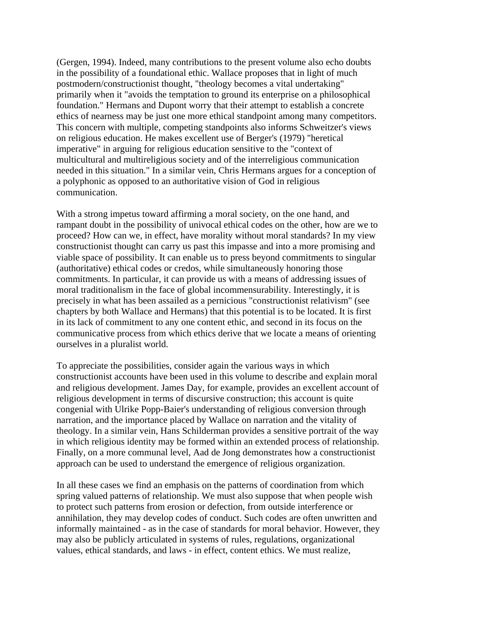(Gergen, 1994). Indeed, many contributions to the present volume also echo doubts in the possibility of a foundational ethic. Wallace proposes that in light of much postmodern/constructionist thought, "theology becomes a vital undertaking" primarily when it "avoids the temptation to ground its enterprise on a philosophical foundation." Hermans and Dupont worry that their attempt to establish a concrete ethics of nearness may be just one more ethical standpoint among many competitors. This concern with multiple, competing standpoints also informs Schweitzer's views on religious education. He makes excellent use of Berger's (1979) "heretical imperative" in arguing for religious education sensitive to the "context of multicultural and multireligious society and of the interreligious communication needed in this situation." In a similar vein, Chris Hermans argues for a conception of a polyphonic as opposed to an authoritative vision of God in religious communication.

With a strong impetus toward affirming a moral society, on the one hand, and rampant doubt in the possibility of univocal ethical codes on the other, how are we to proceed? How can we, in effect, have morality without moral standards? In my view constructionist thought can carry us past this impasse and into a more promising and viable space of possibility. It can enable us to press beyond commitments to singular (authoritative) ethical codes or credos, while simultaneously honoring those commitments. In particular, it can provide us with a means of addressing issues of moral traditionalism in the face of global incommensurability. Interestingly, it is precisely in what has been assailed as a pernicious "constructionist relativism" (see chapters by both Wallace and Hermans) that this potential is to be located. It is first in its lack of commitment to any one content ethic, and second in its focus on the communicative process from which ethics derive that we locate a means of orienting ourselves in a pluralist world.

To appreciate the possibilities, consider again the various ways in which constructionist accounts have been used in this volume to describe and explain moral and religious development. James Day, for example, provides an excellent account of religious development in terms of discursive construction; this account is quite congenial with Ulrike Popp-Baier's understanding of religious conversion through narration, and the importance placed by Wallace on narration and the vitality of theology. In a similar vein, Hans Schilderman provides a sensitive portrait of the way in which religious identity may be formed within an extended process of relationship. Finally, on a more communal level, Aad de Jong demonstrates how a constructionist approach can be used to understand the emergence of religious organization.

In all these cases we find an emphasis on the patterns of coordination from which spring valued patterns of relationship. We must also suppose that when people wish to protect such patterns from erosion or defection, from outside interference or annihilation, they may develop codes of conduct. Such codes are often unwritten and informally maintained - as in the case of standards for moral behavior. However, they may also be publicly articulated in systems of rules, regulations, organizational values, ethical standards, and laws - in effect, content ethics. We must realize,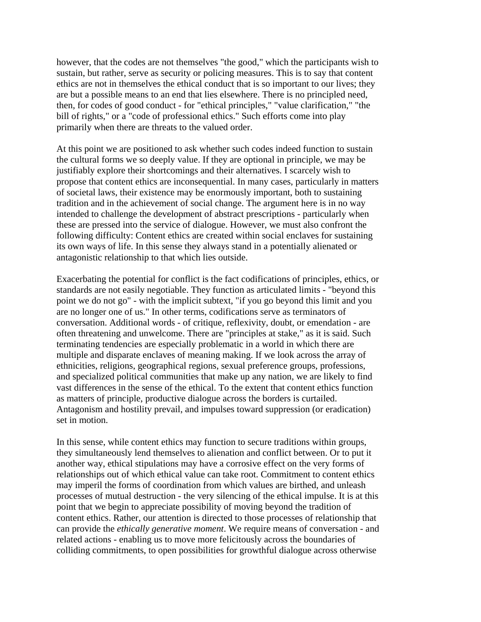however, that the codes are not themselves "the good," which the participants wish to sustain, but rather, serve as security or policing measures. This is to say that content ethics are not in themselves the ethical conduct that is so important to our lives; they are but a possible means to an end that lies elsewhere. There is no principled need, then, for codes of good conduct - for "ethical principles," "value clarification," "the bill of rights," or a "code of professional ethics." Such efforts come into play primarily when there are threats to the valued order.

At this point we are positioned to ask whether such codes indeed function to sustain the cultural forms we so deeply value. If they are optional in principle, we may be justifiably explore their shortcomings and their alternatives. I scarcely wish to propose that content ethics are inconsequential. In many cases, particularly in matters of societal laws, their existence may be enormously important, both to sustaining tradition and in the achievement of social change. The argument here is in no way intended to challenge the development of abstract prescriptions - particularly when these are pressed into the service of dialogue. However, we must also confront the following difficulty: Content ethics are created within social enclaves for sustaining its own ways of life. In this sense they always stand in a potentially alienated or antagonistic relationship to that which lies outside.

Exacerbating the potential for conflict is the fact codifications of principles, ethics, or standards are not easily negotiable. They function as articulated limits - "beyond this point we do not go" - with the implicit subtext, "if you go beyond this limit and you are no longer one of us." In other terms, codifications serve as terminators of conversation. Additional words - of critique, reflexivity, doubt, or emendation - are often threatening and unwelcome. There are "principles at stake," as it is said. Such terminating tendencies are especially problematic in a world in which there are multiple and disparate enclaves of meaning making. If we look across the array of ethnicities, religions, geographical regions, sexual preference groups, professions, and specialized political communities that make up any nation, we are likely to find vast differences in the sense of the ethical. To the extent that content ethics function as matters of principle, productive dialogue across the borders is curtailed. Antagonism and hostility prevail, and impulses toward suppression (or eradication) set in motion.

In this sense, while content ethics may function to secure traditions within groups, they simultaneously lend themselves to alienation and conflict between. Or to put it another way, ethical stipulations may have a corrosive effect on the very forms of relationships out of which ethical value can take root. Commitment to content ethics may imperil the forms of coordination from which values are birthed, and unleash processes of mutual destruction - the very silencing of the ethical impulse. It is at this point that we begin to appreciate possibility of moving beyond the tradition of content ethics. Rather, our attention is directed to those processes of relationship that can provide the *ethically generative moment*. We require means of conversation - and related actions - enabling us to move more felicitously across the boundaries of colliding commitments, to open possibilities for growthful dialogue across otherwise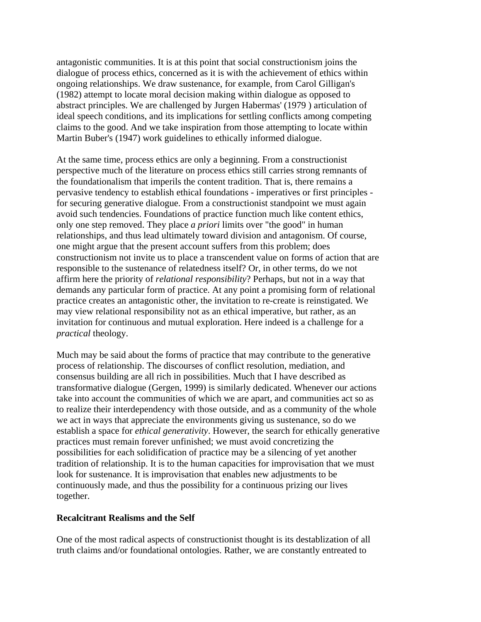antagonistic communities. It is at this point that social constructionism joins the dialogue of process ethics, concerned as it is with the achievement of ethics within ongoing relationships. We draw sustenance, for example, from Carol Gilligan's (1982) attempt to locate moral decision making within dialogue as opposed to abstract principles. We are challenged by Jurgen Habermas' (1979 ) articulation of ideal speech conditions, and its implications for settling conflicts among competing claims to the good. And we take inspiration from those attempting to locate within Martin Buber's (1947) work guidelines to ethically informed dialogue.

At the same time, process ethics are only a beginning. From a constructionist perspective much of the literature on process ethics still carries strong remnants of the foundationalism that imperils the content tradition. That is, there remains a pervasive tendency to establish ethical foundations - imperatives or first principles for securing generative dialogue. From a constructionist standpoint we must again avoid such tendencies. Foundations of practice function much like content ethics, only one step removed. They place *a priori* limits over "the good" in human relationships, and thus lead ultimately toward division and antagonism. Of course, one might argue that the present account suffers from this problem; does constructionism not invite us to place a transcendent value on forms of action that are responsible to the sustenance of relatedness itself? Or, in other terms, do we not affirm here the priority of *relational responsibility*? Perhaps, but not in a way that demands any particular form of practice. At any point a promising form of relational practice creates an antagonistic other, the invitation to re-create is reinstigated. We may view relational responsibility not as an ethical imperative, but rather, as an invitation for continuous and mutual exploration. Here indeed is a challenge for a *practical* theology.

Much may be said about the forms of practice that may contribute to the generative process of relationship. The discourses of conflict resolution, mediation, and consensus building are all rich in possibilities. Much that I have described as transformative dialogue (Gergen, 1999) is similarly dedicated. Whenever our actions take into account the communities of which we are apart, and communities act so as to realize their interdependency with those outside, and as a community of the whole we act in ways that appreciate the environments giving us sustenance, so do we establish a space for *ethical generativity*. However, the search for ethically generative practices must remain forever unfinished; we must avoid concretizing the possibilities for each solidification of practice may be a silencing of yet another tradition of relationship. It is to the human capacities for improvisation that we must look for sustenance. It is improvisation that enables new adjustments to be continuously made, and thus the possibility for a continuous prizing our lives together.

### **Recalcitrant Realisms and the Self**

One of the most radical aspects of constructionist thought is its destablization of all truth claims and/or foundational ontologies. Rather, we are constantly entreated to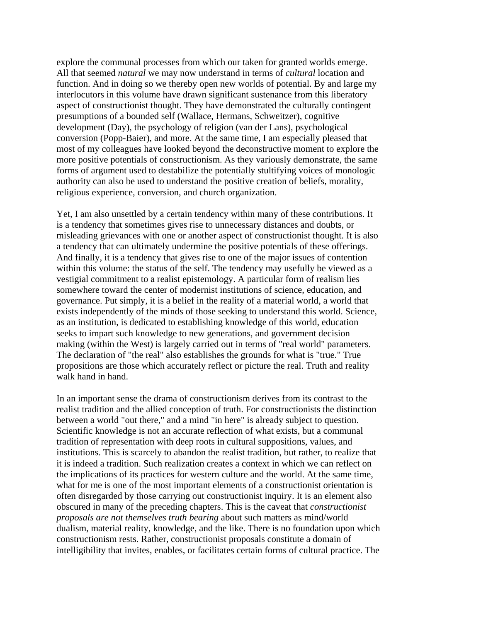explore the communal processes from which our taken for granted worlds emerge. All that seemed *natural* we may now understand in terms of *cultural* location and function. And in doing so we thereby open new worlds of potential. By and large my interlocutors in this volume have drawn significant sustenance from this liberatory aspect of constructionist thought. They have demonstrated the culturally contingent presumptions of a bounded self (Wallace, Hermans, Schweitzer), cognitive development (Day), the psychology of religion (van der Lans), psychological conversion (Popp-Baier), and more. At the same time, I am especially pleased that most of my colleagues have looked beyond the deconstructive moment to explore the more positive potentials of constructionism. As they variously demonstrate, the same forms of argument used to destabilize the potentially stultifying voices of monologic authority can also be used to understand the positive creation of beliefs, morality, religious experience, conversion, and church organization.

Yet, I am also unsettled by a certain tendency within many of these contributions. It is a tendency that sometimes gives rise to unnecessary distances and doubts, or misleading grievances with one or another aspect of constructionist thought. It is also a tendency that can ultimately undermine the positive potentials of these offerings. And finally, it is a tendency that gives rise to one of the major issues of contention within this volume: the status of the self. The tendency may usefully be viewed as a vestigial commitment to a realist epistemology. A particular form of realism lies somewhere toward the center of modernist institutions of science, education, and governance. Put simply, it is a belief in the reality of a material world, a world that exists independently of the minds of those seeking to understand this world. Science, as an institution, is dedicated to establishing knowledge of this world, education seeks to impart such knowledge to new generations, and government decision making (within the West) is largely carried out in terms of "real world" parameters. The declaration of "the real" also establishes the grounds for what is "true." True propositions are those which accurately reflect or picture the real. Truth and reality walk hand in hand.

In an important sense the drama of constructionism derives from its contrast to the realist tradition and the allied conception of truth. For constructionists the distinction between a world "out there," and a mind "in here" is already subject to question. Scientific knowledge is not an accurate reflection of what exists, but a communal tradition of representation with deep roots in cultural suppositions, values, and institutions. This is scarcely to abandon the realist tradition, but rather, to realize that it is indeed a tradition. Such realization creates a context in which we can reflect on the implications of its practices for western culture and the world. At the same time, what for me is one of the most important elements of a constructionist orientation is often disregarded by those carrying out constructionist inquiry. It is an element also obscured in many of the preceding chapters. This is the caveat that *constructionist proposals are not themselves truth bearing* about such matters as mind/world dualism, material reality, knowledge, and the like. There is no foundation upon which constructionism rests. Rather, constructionist proposals constitute a domain of intelligibility that invites, enables, or facilitates certain forms of cultural practice. The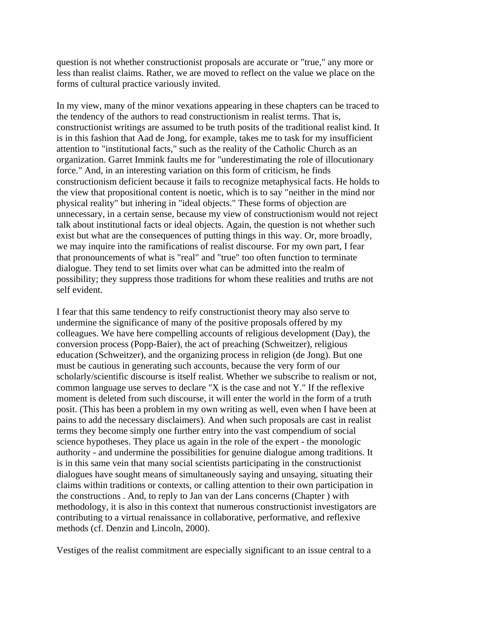question is not whether constructionist proposals are accurate or "true," any more or less than realist claims. Rather, we are moved to reflect on the value we place on the forms of cultural practice variously invited.

In my view, many of the minor vexations appearing in these chapters can be traced to the tendency of the authors to read constructionism in realist terms. That is, constructionist writings are assumed to be truth posits of the traditional realist kind. It is in this fashion that Aad de Jong, for example, takes me to task for my insufficient attention to "institutional facts," such as the reality of the Catholic Church as an organization. Garret Immink faults me for "underestimating the role of illocutionary force." And, in an interesting variation on this form of criticism, he finds constructionism deficient because it fails to recognize metaphysical facts. He holds to the view that propositional content is noetic, which is to say "neither in the mind nor physical reality" but inhering in "ideal objects." These forms of objection are unnecessary, in a certain sense, because my view of constructionism would not reject talk about institutional facts or ideal objects. Again, the question is not whether such exist but what are the consequences of putting things in this way. Or, more broadly, we may inquire into the ramifications of realist discourse. For my own part, I fear that pronouncements of what is "real" and "true" too often function to terminate dialogue. They tend to set limits over what can be admitted into the realm of possibility; they suppress those traditions for whom these realities and truths are not self evident.

I fear that this same tendency to reify constructionist theory may also serve to undermine the significance of many of the positive proposals offered by my colleagues. We have here compelling accounts of religious development (Day), the conversion process (Popp-Baier), the act of preaching (Schweitzer), religious education (Schweitzer), and the organizing process in religion (de Jong). But one must be cautious in generating such accounts, because the very form of our scholarly/scientific discourse is itself realist. Whether we subscribe to realism or not, common language use serves to declare "X is the case and not Y." If the reflexive moment is deleted from such discourse, it will enter the world in the form of a truth posit. (This has been a problem in my own writing as well, even when I have been at pains to add the necessary disclaimers). And when such proposals are cast in realist terms they become simply one further entry into the vast compendium of social science hypotheses. They place us again in the role of the expert - the monologic authority - and undermine the possibilities for genuine dialogue among traditions. It is in this same vein that many social scientists participating in the constructionist dialogues have sought means of simultaneously saying and unsaying, situating their claims within traditions or contexts, or calling attention to their own participation in the constructions . And, to reply to Jan van der Lans concerns (Chapter ) with methodology, it is also in this context that numerous constructionist investigators are contributing to a virtual renaissance in collaborative, performative, and reflexive methods (cf. Denzin and Lincoln, 2000).

Vestiges of the realist commitment are especially significant to an issue central to a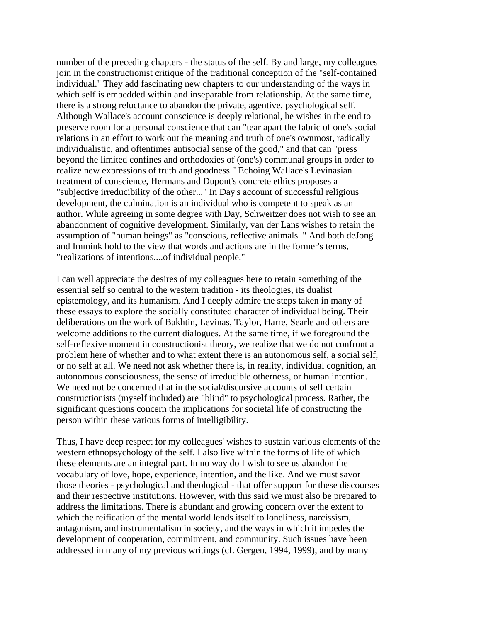number of the preceding chapters - the status of the self. By and large, my colleagues join in the constructionist critique of the traditional conception of the "self-contained individual." They add fascinating new chapters to our understanding of the ways in which self is embedded within and inseparable from relationship. At the same time, there is a strong reluctance to abandon the private, agentive, psychological self. Although Wallace's account conscience is deeply relational, he wishes in the end to preserve room for a personal conscience that can "tear apart the fabric of one's social relations in an effort to work out the meaning and truth of one's ownmost, radically individualistic, and oftentimes antisocial sense of the good," and that can "press beyond the limited confines and orthodoxies of (one's) communal groups in order to realize new expressions of truth and goodness." Echoing Wallace's Levinasian treatment of conscience, Hermans and Dupont's concrete ethics proposes a "subjective irreducibility of the other..." In Day's account of successful religious development, the culmination is an individual who is competent to speak as an author. While agreeing in some degree with Day, Schweitzer does not wish to see an abandonment of cognitive development. Similarly, van der Lans wishes to retain the assumption of "human beings" as "conscious, reflective animals. " And both deJong and Immink hold to the view that words and actions are in the former's terms, "realizations of intentions....of individual people."

I can well appreciate the desires of my colleagues here to retain something of the essential self so central to the western tradition - its theologies, its dualist epistemology, and its humanism. And I deeply admire the steps taken in many of these essays to explore the socially constituted character of individual being. Their deliberations on the work of Bakhtin, Levinas, Taylor, Harre, Searle and others are welcome additions to the current dialogues. At the same time, if we foreground the self-reflexive moment in constructionist theory, we realize that we do not confront a problem here of whether and to what extent there is an autonomous self, a social self, or no self at all. We need not ask whether there is, in reality, individual cognition, an autonomous consciousness, the sense of irreducible otherness, or human intention. We need not be concerned that in the social/discursive accounts of self certain constructionists (myself included) are "blind" to psychological process. Rather, the significant questions concern the implications for societal life of constructing the person within these various forms of intelligibility.

Thus, I have deep respect for my colleagues' wishes to sustain various elements of the western ethnopsychology of the self. I also live within the forms of life of which these elements are an integral part. In no way do I wish to see us abandon the vocabulary of love, hope, experience, intention, and the like. And we must savor those theories - psychological and theological - that offer support for these discourses and their respective institutions. However, with this said we must also be prepared to address the limitations. There is abundant and growing concern over the extent to which the reification of the mental world lends itself to loneliness, narcissism, antagonism, and instrumentalism in society, and the ways in which it impedes the development of cooperation, commitment, and community. Such issues have been addressed in many of my previous writings (cf. Gergen, 1994, 1999), and by many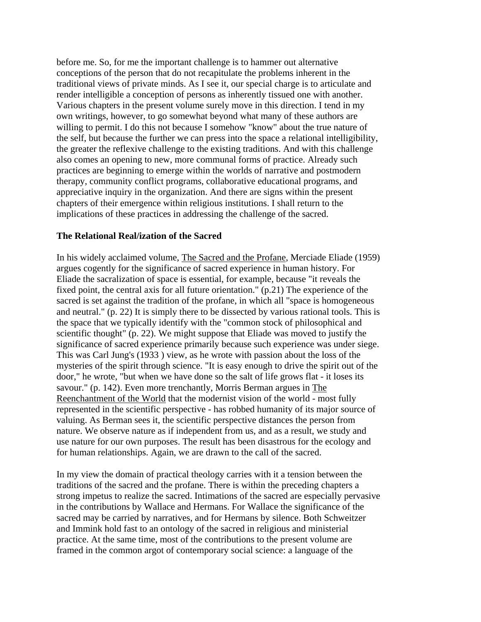before me. So, for me the important challenge is to hammer out alternative conceptions of the person that do not recapitulate the problems inherent in the traditional views of private minds. As I see it, our special charge is to articulate and render intelligible a conception of persons as inherently tissued one with another. Various chapters in the present volume surely move in this direction. I tend in my own writings, however, to go somewhat beyond what many of these authors are willing to permit. I do this not because I somehow "know" about the true nature of the self, but because the further we can press into the space a relational intelligibility, the greater the reflexive challenge to the existing traditions. And with this challenge also comes an opening to new, more communal forms of practice. Already such practices are beginning to emerge within the worlds of narrative and postmodern therapy, community conflict programs, collaborative educational programs, and appreciative inquiry in the organization. And there are signs within the present chapters of their emergence within religious institutions. I shall return to the implications of these practices in addressing the challenge of the sacred.

## **The Relational Real/ization of the Sacred**

In his widely acclaimed volume, The Sacred and the Profane, Merciade Eliade (1959) argues cogently for the significance of sacred experience in human history. For Eliade the sacralization of space is essential, for example, because "it reveals the fixed point, the central axis for all future orientation." (p.21) The experience of the sacred is set against the tradition of the profane, in which all "space is homogeneous and neutral." (p. 22) It is simply there to be dissected by various rational tools. This is the space that we typically identify with the "common stock of philosophical and scientific thought" (p. 22). We might suppose that Eliade was moved to justify the significance of sacred experience primarily because such experience was under siege. This was Carl Jung's (1933 ) view, as he wrote with passion about the loss of the mysteries of the spirit through science. "It is easy enough to drive the spirit out of the door," he wrote, "but when we have done so the salt of life grows flat - it loses its savour." (p. 142). Even more trenchantly, Morris Berman argues in The Reenchantment of the World that the modernist vision of the world - most fully represented in the scientific perspective - has robbed humanity of its major source of valuing. As Berman sees it, the scientific perspective distances the person from nature. We observe nature as if independent from us, and as a result, we study and use nature for our own purposes. The result has been disastrous for the ecology and for human relationships. Again, we are drawn to the call of the sacred.

In my view the domain of practical theology carries with it a tension between the traditions of the sacred and the profane. There is within the preceding chapters a strong impetus to realize the sacred. Intimations of the sacred are especially pervasive in the contributions by Wallace and Hermans. For Wallace the significance of the sacred may be carried by narratives, and for Hermans by silence. Both Schweitzer and Immink hold fast to an ontology of the sacred in religious and ministerial practice. At the same time, most of the contributions to the present volume are framed in the common argot of contemporary social science: a language of the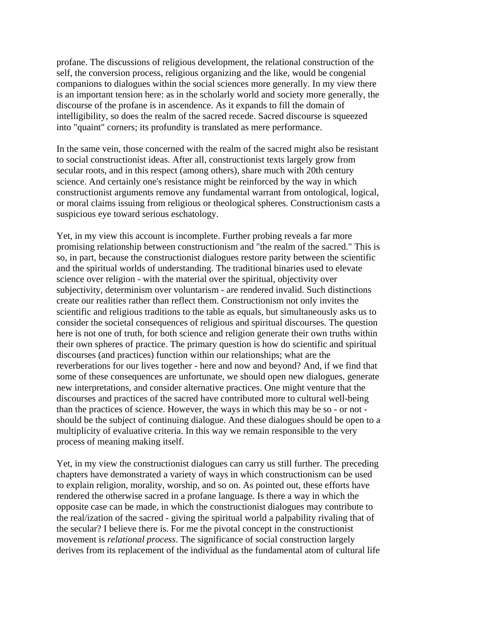profane. The discussions of religious development, the relational construction of the self, the conversion process, religious organizing and the like, would be congenial companions to dialogues within the social sciences more generally. In my view there is an important tension here: as in the scholarly world and society more generally, the discourse of the profane is in ascendence. As it expands to fill the domain of intelligibility, so does the realm of the sacred recede. Sacred discourse is squeezed into "quaint" corners; its profundity is translated as mere performance.

In the same vein, those concerned with the realm of the sacred might also be resistant to social constructionist ideas. After all, constructionist texts largely grow from secular roots, and in this respect (among others), share much with 20th century science. And certainly one's resistance might be reinforced by the way in which constructionist arguments remove any fundamental warrant from ontological, logical, or moral claims issuing from religious or theological spheres. Constructionism casts a suspicious eye toward serious eschatology.

Yet, in my view this account is incomplete. Further probing reveals a far more promising relationship between constructionism and "the realm of the sacred." This is so, in part, because the constructionist dialogues restore parity between the scientific and the spiritual worlds of understanding. The traditional binaries used to elevate science over religion - with the material over the spiritual, objectivity over subjectivity, determinism over voluntarism - are rendered invalid. Such distinctions create our realities rather than reflect them. Constructionism not only invites the scientific and religious traditions to the table as equals, but simultaneously asks us to consider the societal consequences of religious and spiritual discourses. The question here is not one of truth, for both science and religion generate their own truths within their own spheres of practice. The primary question is how do scientific and spiritual discourses (and practices) function within our relationships; what are the reverberations for our lives together - here and now and beyond? And, if we find that some of these consequences are unfortunate, we should open new dialogues, generate new interpretations, and consider alternative practices. One might venture that the discourses and practices of the sacred have contributed more to cultural well-being than the practices of science. However, the ways in which this may be so - or not should be the subject of continuing dialogue. And these dialogues should be open to a multiplicity of evaluative criteria. In this way we remain responsible to the very process of meaning making itself.

Yet, in my view the constructionist dialogues can carry us still further. The preceding chapters have demonstrated a variety of ways in which constructionism can be used to explain religion, morality, worship, and so on. As pointed out, these efforts have rendered the otherwise sacred in a profane language. Is there a way in which the opposite case can be made, in which the constructionist dialogues may contribute to the real/ization of the sacred - giving the spiritual world a palpability rivaling that of the secular? I believe there is. For me the pivotal concept in the constructionist movement is *relational process*. The significance of social construction largely derives from its replacement of the individual as the fundamental atom of cultural life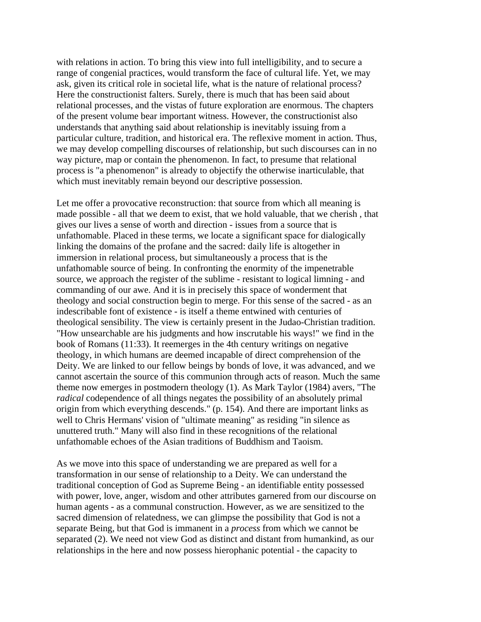with relations in action. To bring this view into full intelligibility, and to secure a range of congenial practices, would transform the face of cultural life. Yet, we may ask, given its critical role in societal life, what is the nature of relational process? Here the constructionist falters. Surely, there is much that has been said about relational processes, and the vistas of future exploration are enormous. The chapters of the present volume bear important witness. However, the constructionist also understands that anything said about relationship is inevitably issuing from a particular culture, tradition, and historical era. The reflexive moment in action. Thus, we may develop compelling discourses of relationship, but such discourses can in no way picture, map or contain the phenomenon. In fact, to presume that relational process is "a phenomenon" is already to objectify the otherwise inarticulable, that which must inevitably remain beyond our descriptive possession.

Let me offer a provocative reconstruction: that source from which all meaning is made possible - all that we deem to exist, that we hold valuable, that we cherish , that gives our lives a sense of worth and direction - issues from a source that is unfathomable. Placed in these terms, we locate a significant space for dialogically linking the domains of the profane and the sacred: daily life is altogether in immersion in relational process, but simultaneously a process that is the unfathomable source of being. In confronting the enormity of the impenetrable source, we approach the register of the sublime - resistant to logical limning - and commanding of our awe. And it is in precisely this space of wonderment that theology and social construction begin to merge. For this sense of the sacred - as an indescribable font of existence - is itself a theme entwined with centuries of theological sensibility. The view is certainly present in the Judao-Christian tradition. "How unsearchable are his judgments and how inscrutable his ways!" we find in the book of Romans (11:33). It reemerges in the 4th century writings on negative theology, in which humans are deemed incapable of direct comprehension of the Deity. We are linked to our fellow beings by bonds of love, it was advanced, and we cannot ascertain the source of this communion through acts of reason. Much the same theme now emerges in postmodern theology (1). As Mark Taylor (1984) avers, "The *radical* codependence of all things negates the possibility of an absolutely primal origin from which everything descends." (p. 154). And there are important links as well to Chris Hermans' vision of "ultimate meaning" as residing "in silence as unuttered truth." Many will also find in these recognitions of the relational unfathomable echoes of the Asian traditions of Buddhism and Taoism.

As we move into this space of understanding we are prepared as well for a transformation in our sense of relationship to a Deity. We can understand the traditional conception of God as Supreme Being - an identifiable entity possessed with power, love, anger, wisdom and other attributes garnered from our discourse on human agents - as a communal construction. However, as we are sensitized to the sacred dimension of relatedness, we can glimpse the possibility that God is not a separate Being, but that God is immanent in a *process* from which we cannot be separated (2). We need not view God as distinct and distant from humankind, as our relationships in the here and now possess hierophanic potential - the capacity to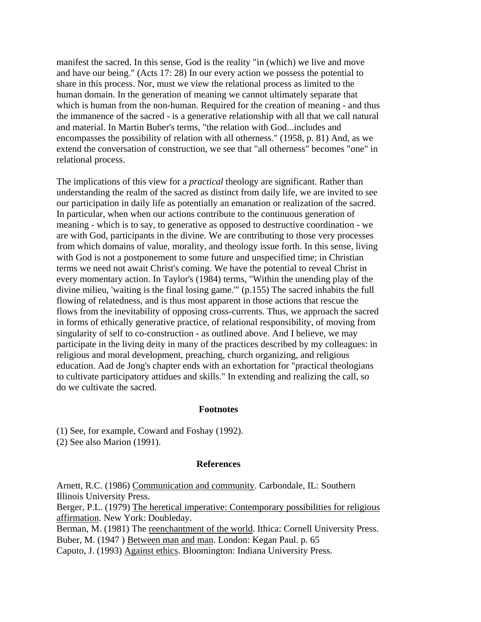manifest the sacred. In this sense, God is the reality "in (which) we live and move and have our being." (Acts 17: 28) In our every action we possess the potential to share in this process. Nor, must we view the relational process as limited to the human domain. In the generation of meaning we cannot ultimately separate that which is human from the non-human. Required for the creation of meaning - and thus the immanence of the sacred - is a generative relationship with all that we call natural and material. In Martin Buber's terms, "the relation with God...includes and encompasses the possibility of relation with all otherness." (1958, p. 81) And, as we extend the conversation of construction, we see that "all otherness" becomes "one" in relational process.

The implications of this view for a *practical* theology are significant. Rather than understanding the realm of the sacred as distinct from daily life, we are invited to see our participation in daily life as potentially an emanation or realization of the sacred. In particular, when when our actions contribute to the continuous generation of meaning - which is to say, to generative as opposed to destructive coordination - we are with God, participants in the divine. We are contributing to those very processes from which domains of value, morality, and theology issue forth. In this sense, living with God is not a postponement to some future and unspecified time; in Christian terms we need not await Christ's coming. We have the potential to reveal Christ in every momentary action. In Taylor's (1984) terms, "Within the unending play of the divine milieu, 'waiting is the final losing game.'" (p.155) The sacred inhabits the full flowing of relatedness, and is thus most apparent in those actions that rescue the flows from the inevitability of opposing cross-currents. Thus, we approach the sacred in forms of ethically generative practice, of relational responsibility, of moving from singularity of self to co-construction - as outlined above. And I believe, we may participate in the living deity in many of the practices described by my colleagues: in religious and moral development, preaching, church organizing, and religious education. Aad de Jong's chapter ends with an exhortation for "practical theologians to cultivate participatory attidues and skills." In extending and realizing the call, so do we cultivate the sacred.

#### **Footnotes**

(1) See, for example, Coward and Foshay (1992). (2) See also Marion (1991).

#### **References**

Arnett, R.C. (1986) Communication and community. Carbondale, IL: Southern Illinois University Press. Berger, P.L. (1979) The heretical imperative: Contemporary possibilities for religious affirmation. New York: Doubleday. Berman, M. (1981) The reenchantment of the world. Ithica: Cornell University Press. Buber, M. (1947 ) Between man and man. London: Kegan Paul. p. 65 Caputo, J. (1993) Against ethics. Bloomington: Indiana University Press.